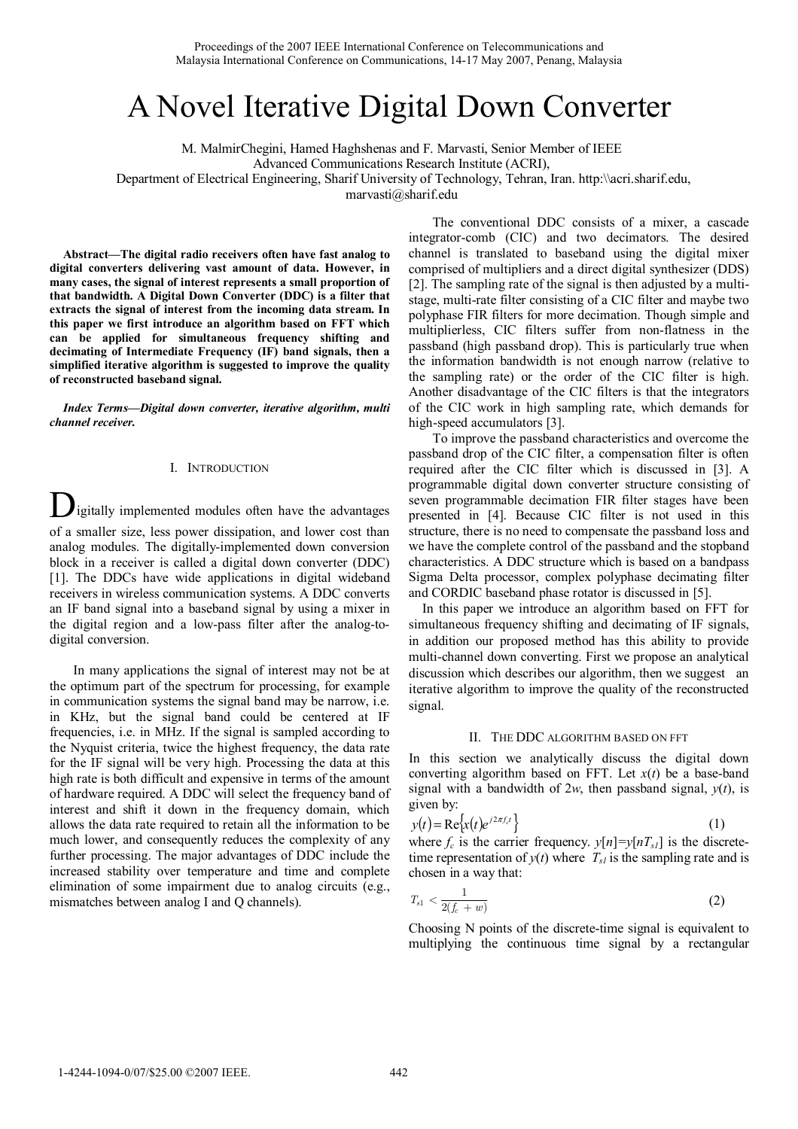# A Novel Iterative Digital Down Converter

M. MalmirChegini, Hamed Haghshenas and F. Marvasti, Senior Member of IEEE Advanced Communications Research Institute (ACRI), Department of Electrical Engineering, Sharif University of Technology, Tehran, Iran. http:\\acri.sharif.edu,

marvasti@sharif.edu

**Abstract—The digital radio receivers often have fast analog to digital converters delivering vast amount of data. However, in many cases, the signal of interest represents a small proportion of that bandwidth. A Digital Down Converter (DDC) is a filter that extracts the signal of interest from the incoming data stream. In this paper we first introduce an algorithm based on FFT which can be applied for simultaneous frequency shifting and decimating of Intermediate Frequency (IF) band signals, then a simplified iterative algorithm is suggested to improve the quality of reconstructed baseband signal.** 

*Index Terms***—***Digital down converter, iterative algorithm, multi channel receiver.*

## I. INTRODUCTION

**D**igitally implemented modules often have the advantages of a smaller size, less power dissipation, and lower cost than analog modules. The digitally-implemented down conversion block in a receiver is called a digital down converter (DDC) [1]. The DDCs have wide applications in digital wideband receivers in wireless communication systems. A DDC converts an IF band signal into a baseband signal by using a mixer in the digital region and a low-pass filter after the analog-todigital conversion.

In many applications the signal of interest may not be at the optimum part of the spectrum for processing, for example in communication systems the signal band may be narrow, i.e. in KHz, but the signal band could be centered at IF frequencies, i.e. in MHz. If the signal is sampled according to the Nyquist criteria, twice the highest frequency, the data rate for the IF signal will be very high. Processing the data at this high rate is both difficult and expensive in terms of the amount of hardware required. A DDC will select the frequency band of interest and shift it down in the frequency domain, which allows the data rate required to retain all the information to be much lower, and consequently reduces the complexity of any further processing. The major advantages of DDC include the increased stability over temperature and time and complete elimination of some impairment due to analog circuits (e.g., mismatches between analog I and Q channels).

The conventional DDC consists of a mixer, a cascade integrator-comb (CIC) and two decimators. The desired channel is translated to baseband using the digital mixer comprised of multipliers and a direct digital synthesizer (DDS) [2]. The sampling rate of the signal is then adjusted by a multistage, multi-rate filter consisting of a CIC filter and maybe two polyphase FIR filters for more decimation. Though simple and multiplierless, CIC filters suffer from non-flatness in the passband (high passband drop). This is particularly true when the information bandwidth is not enough narrow (relative to the sampling rate) or the order of the CIC filter is high. Another disadvantage of the CIC filters is that the integrators of the CIC work in high sampling rate, which demands for high-speed accumulators [3].

To improve the passband characteristics and overcome the passband drop of the CIC filter, a compensation filter is often required after the CIC filter which is discussed in [3]. A programmable digital down converter structure consisting of seven programmable decimation FIR filter stages have been presented in [4]. Because CIC filter is not used in this structure, there is no need to compensate the passband loss and we have the complete control of the passband and the stopband characteristics. A DDC structure which is based on a bandpass Sigma Delta processor, complex polyphase decimating filter and CORDIC baseband phase rotator is discussed in [5].

In this paper we introduce an algorithm based on FFT for simultaneous frequency shifting and decimating of IF signals, in addition our proposed method has this ability to provide multi-channel down converting. First we propose an analytical discussion which describes our algorithm, then we suggest an iterative algorithm to improve the quality of the reconstructed signal.

## II. THE DDC ALGORITHM BASED ON FFT

In this section we analytically discuss the digital down converting algorithm based on FFT. Let  $x(t)$  be a base-band signal with a bandwidth of  $2w$ , then passband signal,  $y(t)$ , is given by:

$$
y(t) = \text{Re}\left\{x(t)e^{j2\pi f_c t}\right\} \tag{1}
$$

where  $f_c$  is the carrier frequency.  $y[n]=y[nT_{s1}]$  is the discretetime representation of  $y(t)$  where  $T_{s}$  is the sampling rate and is chosen in a way that:

$$
T_{s1} < \frac{1}{2(f_c + w)}\tag{2}
$$

Choosing N points of the discrete-time signal is equivalent to multiplying the continuous time signal by a rectangular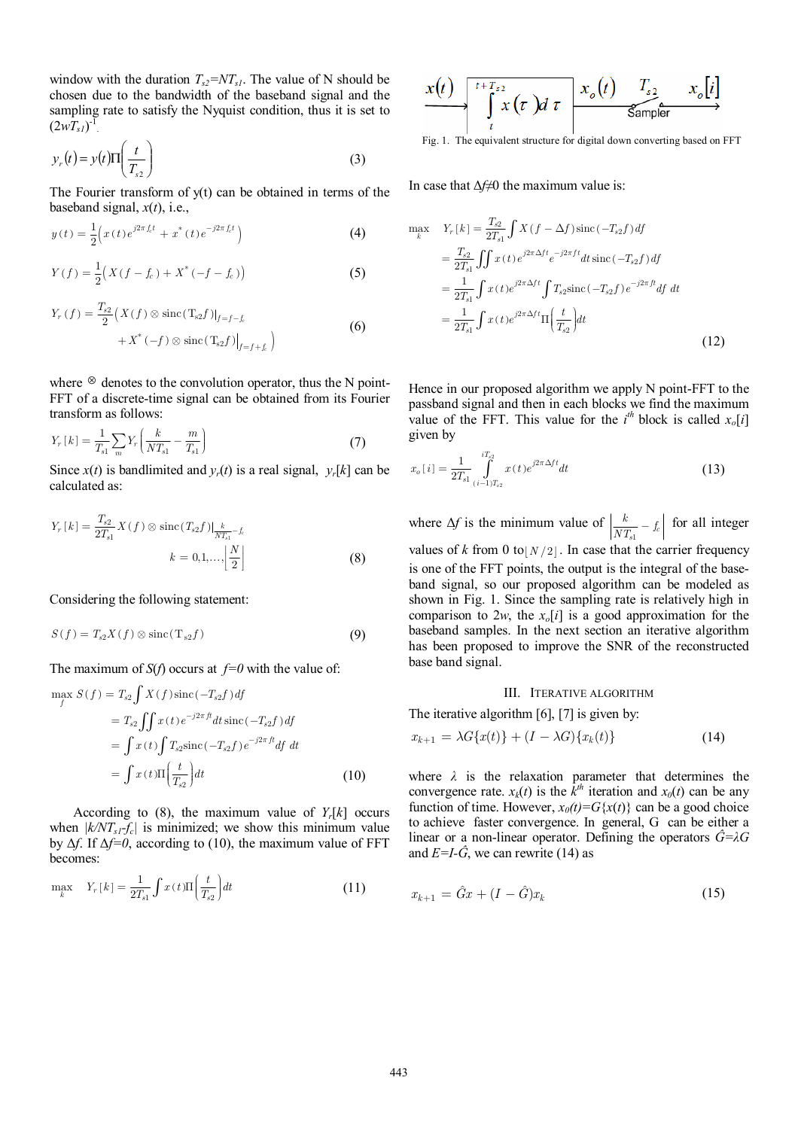window with the duration  $T_{s2} = NT_{s1}$ . The value of N should be chosen due to the bandwidth of the baseband signal and the sampling rate to satisfy the Nyquist condition, thus it is set to  $(2wT_{sI})^{\text{T}}$ .

$$
y_r(t) = y(t)\Pi\left(\frac{t}{T_{s2}}\right)
$$
 (3)

The Fourier transform of y(t) can be obtained in terms of the baseband signal,  $x(t)$ , i.e.,

$$
y(t) = \frac{1}{2} \Big( x(t) e^{j2\pi f_c t} + x^*(t) e^{-j2\pi f_c t} \Big)
$$
 (4)

$$
Y(f) = \frac{1}{2} \Big( X(f - f_c) + X^* (-f - f_c) \Big)
$$
 (5)

$$
Y_r(f) = \frac{T_{s2}}{2} \left( X(f) \otimes \text{sinc}(T_{s2}f)|_{f=f-f_c} + X^*(-f) \otimes \text{sinc}(T_{s2}f) \Big|_{f=f+f_c} \right)
$$
(6)

where  $\otimes$  denotes to the convolution operator, thus the N point-FFT of a discrete-time signal can be obtained from its Fourier transform as follows:

$$
Y_r[k] = \frac{1}{T_{s1}} \sum_{m} Y_r \left( \frac{k}{NT_{s1}} - \frac{m}{T_{s1}} \right)
$$
 (7)

Since  $x(t)$  is bandlimited and  $y_r(t)$  is a real signal,  $y_r[k]$  can be calculated as:

$$
Y_r[k] = \frac{T_{s2}}{2T_{s1}} X(f) \otimes \text{sinc}(T_{s2}f)|_{\frac{k}{NT_{s1}} - f_c}
$$

$$
k = 0, 1, ..., \left| \frac{N}{2} \right|
$$
(8)

Considering the following statement:

$$
S(f) = T_{s2}X(f) \otimes \operatorname{sinc}(T_{s2}f)
$$
\n(9)

The maximum of  $S(f)$  occurs at  $f=0$  with the value of:

$$
\max_{f} S(f) = T_{s2} \int X(f) \operatorname{sinc}(-T_{s2}f) df
$$
  
\n
$$
= T_{s2} \int \int x(t) e^{-j2\pi ft} dt \operatorname{sinc}(-T_{s2}f) df
$$
  
\n
$$
= \int x(t) \int T_{s2} \operatorname{sinc}(-T_{s2}f) e^{-j2\pi ft} df dt
$$
  
\n
$$
= \int x(t) \Pi \left(\frac{t}{T_{s2}}\right) dt
$$
 (10)

According to (8), the maximum value of  $Y_r[k]$  occurs when  $|k/NT_{s1}-f_c|$  is minimized; we show this minimum value by ∆*f*. If ∆*f=0*, according to (10), the maximum value of FFT becomes:

$$
\max_{k} \quad Y_{r}[k] = \frac{1}{2T_{s1}} \int x(t) \Pi\left(\frac{t}{T_{s2}}\right) dt \tag{11}
$$

$$
\xrightarrow{f(t)} \underbrace{\int_{t}^{t+T_{s2}} x(\tau) d\tau}_{t} \xrightarrow{x_o(t)} \underbrace{T_{s2}}_{\text{Sampler}} x_o[i]
$$

Fig. 1. The equivalent structure for digital down converting based on FFT

In case that ∆*f*≠0 the maximum value is:

$$
\max_{k} Y_{r}[k] = \frac{T_{s2}}{2T_{s1}} \int X(f - \Delta f) \operatorname{sinc}(-T_{s2}f) df
$$
  
\n
$$
= \frac{T_{s2}}{2T_{s1}} \int \int x(t) e^{j2\pi \Delta ft} e^{-j2\pi ft} dt \operatorname{sinc}(-T_{s2}f) df
$$
  
\n
$$
= \frac{1}{2T_{s1}} \int x(t) e^{j2\pi \Delta ft} \int T_{s2} \operatorname{sinc}(-T_{s2}f) e^{-j2\pi ft} df dt
$$
  
\n
$$
= \frac{1}{2T_{s1}} \int x(t) e^{j2\pi \Delta ft} \Pi \left(\frac{t}{T_{s2}}\right) dt
$$
\n(12)

Hence in our proposed algorithm we apply N point-FFT to the passband signal and then in each blocks we find the maximum value of the FFT. This value for the  $i^{th}$  block is called  $x_o[i]$ given by

$$
x_o[i] = \frac{1}{2T_{s1}} \int_{(i-1)T_{s2}}^{iT_{s2}} x(t)e^{j2\pi\Delta ft}dt
$$
 (13)

where  $\Delta f$  is the minimum value of  $\left| \frac{k}{NT_{s1}} - f_c \right|$  for all integer values of *k* from 0 to  $N/2$ . In case that the carrier frequency is one of the FFT points, the output is the integral of the baseband signal, so our proposed algorithm can be modeled as shown in Fig. 1. Since the sampling rate is relatively high in comparison to 2*w*, the  $x_o[i]$  is a good approximation for the baseband samples. In the next section an iterative algorithm has been proposed to improve the SNR of the reconstructed base band signal.

#### III. ITERATIVE ALGORITHM

The iterative algorithm [6], [7] is given by:

$$
x_{k+1} = \lambda G\{x(t)\} + (I - \lambda G)\{x_k(t)\}\tag{14}
$$

where  $\lambda$  is the relaxation parameter that determines the convergence rate.  $x_k(t)$  is the  $\hat{k}^{\text{th}}$  iteration and  $x_0(t)$  can be any function of time. However,  $x_0(t) = G\{x(t)\}\)$  can be a good choice to achieve faster convergence. In general, G can be either a linear or a non-linear operator. Defining the operators  $\hat{G} = \lambda G$ and  $E=I-\hat{G}$ , we can rewrite (14) as

$$
x_{k+1} = \hat{G}x + (I - \hat{G})x_k
$$
\n(15)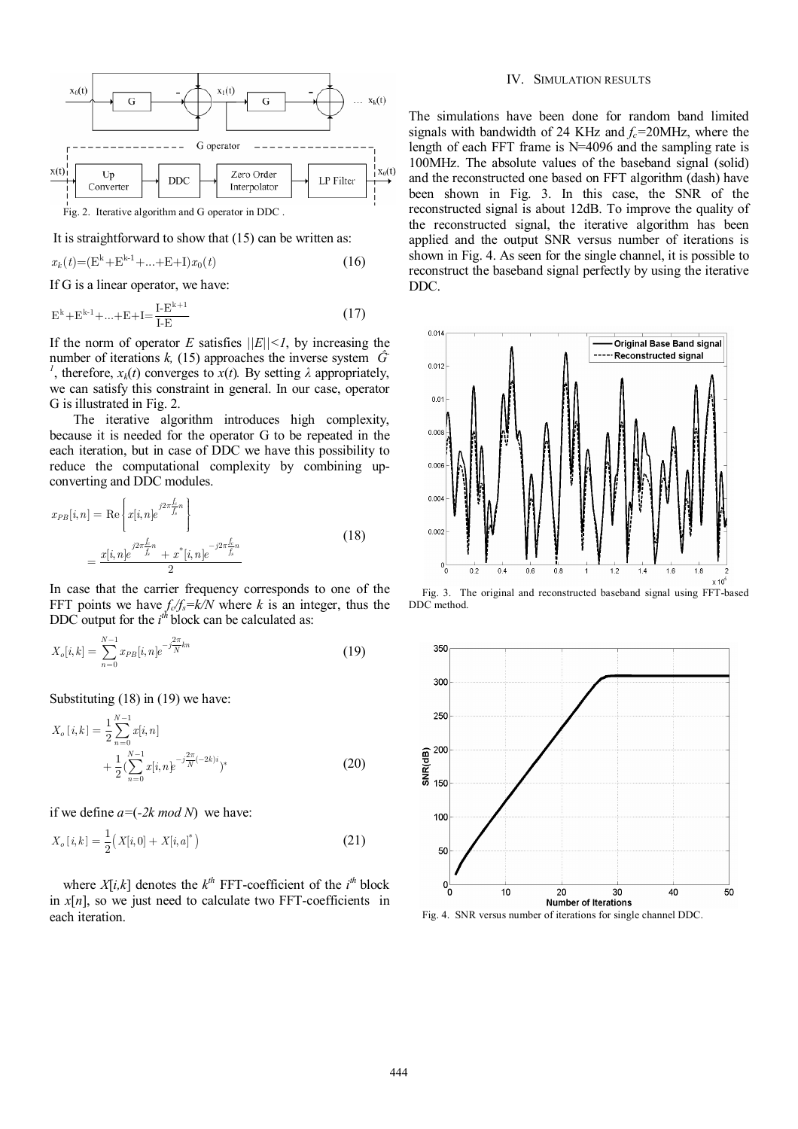

Fig. 2. Iterative algorithm and G operator in DDC .

It is straightforward to show that (15) can be written as:

$$
x_k(t) = (E^k + E^{k-1} + ... + E + I)x_0(t)
$$
\n(16)

If G is a linear operator, we have:

$$
E^{k} + E^{k-1} + \dots + E + I = \frac{I - E^{k+1}}{I - E}
$$
\n(17)

If the norm of operator *E* satisfies  $||E|| \leq 1$ , by increasing the number of iterations  $k$ , (15) approaches the inverse system  $\hat{G}$ <sup>1</sup>, therefore,  $x_k(t)$  converges to  $x(t)$ . By setting  $\lambda$  appropriately, we can satisfy this constraint in general. In our case, operator G is illustrated in Fig. 2.

The iterative algorithm introduces high complexity, because it is needed for the operator G to be repeated in the each iteration, but in case of DDC we have this possibility to reduce the computational complexity by combining upconverting and DDC modules.

$$
x_{PB}[i,n] = \text{Re}\left\{x[i,n]e^{j2\pi \frac{\hat{f}_n}{f_s}}\right\}
$$
  
= 
$$
\frac{x[i,n]e^{j2\pi \frac{\hat{f}_n}{f_s}} + x^*[i,n]e^{-j2\pi \frac{\hat{f}_n}{f_s}}}{2}
$$
 (18)

In case that the carrier frequency corresponds to one of the FFT points we have  $f_c/f_s = k/N$  where k is an integer, thus the DDC output for the  $i^{th}$  block can be calculated as:

$$
X_o[i,k] = \sum_{n=0}^{N-1} x_{PB}[i,n]e^{-j\frac{2\pi}{N}kn}
$$
\n(19)

Substituting (18) in (19) we have:

$$
X_o[i,k] = \frac{1}{2} \sum_{n=0}^{N-1} x[i,n] + \frac{1}{2} (\sum_{n=0}^{N-1} x[i,n] e^{-j\frac{2\pi}{N}(-2k)i})^*
$$
 (20)

if we define *a=*(*-2k mod N*) we have:

$$
X_o[i,k] = \frac{1}{2} \big( X[i,0] + X[i,a]^* \big) \tag{21}
$$

where  $X[i,k]$  denotes the  $k^{th}$  FFT-coefficient of the  $i^{th}$  block in  $x[n]$ , so we just need to calculate two FFT-coefficients in each iteration.

## IV. SIMULATION RESULTS

The simulations have been done for random band limited signals with bandwidth of 24 KHz and  $f_c$ =20MHz, where the length of each FFT frame is N=4096 and the sampling rate is 100MHz. The absolute values of the baseband signal (solid) and the reconstructed one based on FFT algorithm (dash) have been shown in Fig. 3. In this case, the SNR of the reconstructed signal is about 12dB. To improve the quality of the reconstructed signal, the iterative algorithm has been applied and the output SNR versus number of iterations is shown in Fig. 4. As seen for the single channel, it is possible to reconstruct the baseband signal perfectly by using the iterative DDC.







Fig. 4. SNR versus number of iterations for single channel DDC.